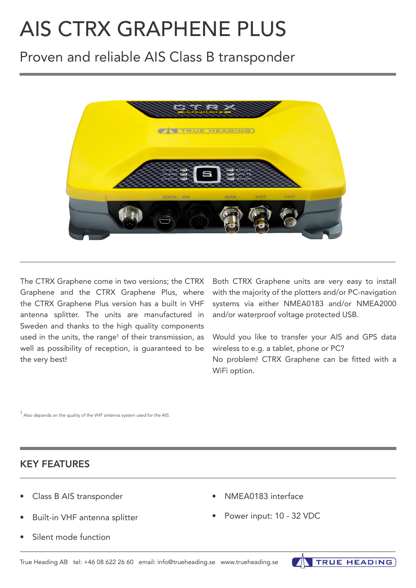# AIS CTRX GRAPHENE PLUS

## Proven and reliable AIS Class B transponder



The CTRX Graphene come in two versions; the CTRX Graphene and the CTRX Graphene Plus, where the CTRX Graphene Plus version has a built in VHF antenna splitter. The units are manufactured in Sweden and thanks to the high quality components used in the units, the range<sup>1</sup> of their transmission, as well as possibility of reception, is guaranteed to be the very best!

Both CTRX Graphene units are very easy to install with the majority of the plotters and/or PC-navigation systems via either NMEA0183 and/or NMEA2000 and/or waterproof voltage protected USB.

Would you like to transfer your AIS and GPS data wireless to e.g. a tablet, phone or PC? No problem! CTRX Graphene can be fitted with a WiFi option.

 $1$  Also depends on the quality of the VHF antenna system used for the AIS.

#### KEY FEATURES

- Class B AIS transponder
- Built-in VHF antenna splitter
- Silent mode function
- NMEA0183 interface
- Power input: 10 32 VDC